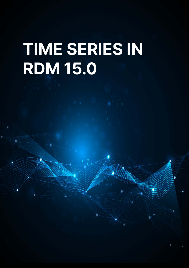# TIME SERIES IN RDM 15.0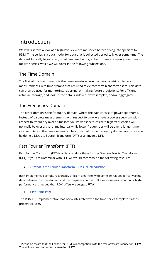# Introduction

We will first take a look at a high-level view of time series before diving into specifics for RDM. Time series is a data model for data that is collected periodically over some time. The data will typically be indexed, listed, analyzed, and graphed. There are mainly two domains for time series, which we will cover in the following subsections.

## The Time Domain

The first of the two domains is the time domain, where the data consist of discrete measurements with time stamps that are used to extract certain characteristics. This data can then be used for monitoring, reporting, or making future predictions. For efficient retrieval, storage, and lookup, the data is indexed, downsampled, and/or aggregated.

## The Frequency Domain

The other domain is the frequency domain, where the data consist of power spectrums. Instead of discrete measurements with respect to time, we have a power spectrum with respect to frequency over a time interval. Power spectrums with high frequencies will normally be over a short time interval while lower frequencies will be over a longer time interval. Data in the time domain can be converted to the frequency domain and vice versa by doing a Discrete Fourier Transform (DFT) or an Inverse DFT.

## Fast Fourier Transform (FFT)

Fast Fourier Transform (FFT) is a class of algorithms for the Discrete Fourier Transform (DFT). If you are unfamiliar with FFT, we would recommend the following resource:

● [But what is the Fourier Transform? A visual introduction.](https://www.youtube.com/watch?v=spUNpyF58BY)

RDM implements a simple, reasonably efficient algorithm with some limitations for converting data between the time domain and the frequency domain. If a more general solution or higher performance is needed than RDM offers we suggest  $\mathsf{FFTW}^1$ :

● [FFTW Home Page](http://fftw.org/)

The RDM FFT implementation has been integrated with the time series template classes presented later.

<sup>&</sup>lt;sup>1</sup> Please be aware that the license for RDM is incompatible with the free software license for FFTW. You will need a commercial license for FFTW.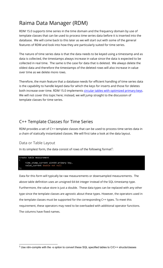# Raima Data Manager (RDM)

RDM 15.0 supports time series in the time domain and the frequency domain by use of template classes that can be used to process time series data before it is inserted into the database. We will come back to this later as we will start out with some of the general features of RDM and look into how they are particularly suited for time series.

The nature of time series data is that the data needs to be keyed using a timestamp and as data is collected, the timestamps always increase in value since the data is expected to be collected in real time. The same is the case for data that is deleted. We always delete the oldest data and therefore the timestamps of the deleted rows will also increase in value over time as we delete more rows.

Therefore, the main feature that a database needs for efficient handling of time series data is the capability to handle keyed data for which the keys for inserts and those for deletes both increase over time. RDM 15.0 implements [circular tables with optimized primary keys.](https://raima.com/circular-tables-and-optimized-primary-keys/) We will not cover this topic here; instead, we will jump straight to the discussion of template classes for time series.

## C++ Template Classes for Time Series

RDM provides a set of C++ template classes that can be used to process time series data in a chain of statically instantiated classes. We will first take a look at the data layout.

### Data or Table Layout

In its simplest form, the data consist of rows of the following format<sup>2</sup>:

```
create table measurement
\left( time_stamp_current uint64 primary key,
     value_current double not null
);
```
Data for this form will typically be raw measurements or downsampled measurements. The above table definition uses an unsigned 64-bit integer instead of the SQL timestamp type. Furthermore, the value store is just a double. These data types can be replaced with any other type since the template classes are agnostic about these types. However, the operators used in the template classes must be supported for the corresponding C++ types. To meet this requirement, these operators may need to be overloaded with additional operator functions. The columns have fixed names.

<sup>&</sup>lt;sup>2</sup> Use rdm-compile with the -s option to convert these SQL specified tables to C/C++ structs/classes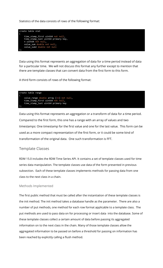Statistics of the data consists of rows of the following format:



Data using this format represents an aggregation of data for a time period instead of data for a particular time. We will not discuss this format any further except to mention that there are template classes that can convert data from the first form to this form.

A third form consists of rows of the following format:



Data using this format represents an aggregation or a transform of data for a time period. Compared to the first form, this one has a range with an array of values and two timestamps: One timestamp for the first value and one for the last value. This form can be used as a more compact representation of the first form, or it could be some kind of transformation of the original data. One such transformation is FFT.

#### Template Classes

RDM 15.0 includes the RDM Time Series API. It contains a set of template classes used for time series data manipulation. The template classes use data of the form presented in previous subsection. Each of these template classes implements methods for passing data from one class to the next class in a chain.

#### Methods Implemented

The first public method that must be called after the instantiation of these template classes is the init method. The init method takes a database handle as the parameter. There are also a number of put methods, one method for each row format applicable to a template class. The put methods are used to pass data on for processing or insert data into the database. Some of these template classes collect a certain amount of data before passing its aggregated information on to the next class in the chain. Many of those template classes allow the aggregated information to be passed on before a threshold for passing on information has been reached by explicitly calling a flush method.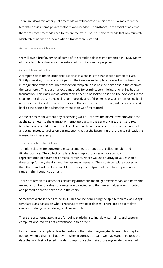There are also a few other public methods we will not cover in this article. To implement the template classes, some private methods were needed. For instance, in the event of an error, there are private methods used to restore the state. There are also methods that communicate which tables need to be locked when a transaction is started.

#### Actual Template Classes

We will give a brief overview of some of the template classes implemented in RDM. Many of these template classes can be extended to suit a specific purpose.

#### General Template Classes

A template class that is often the first class in a chain is the transaction template class. Strictly speaking, this class is not part of the time series template classes but is often used in conjunction with them. The transaction template class has the next class in the chain as the parameter. This class has extra methods for starting, committing, and rolling back a transaction. This class knows which tables need to be locked based on the next class in the chain (either directly the next class or indirectly any of the next classes). When rolling back a transaction, it also knows how to rewind the state of the next class (and its next classes) back to the state it had when the transaction was first started.

A time series chain without any processing would just have the insert\_row template class as the parameter to the transaction template class. In the general case, the insert\_row template class would often be the last class in a chain of classes. This class does not hold any state. Instead, it relies on a transaction class at the beginning of a chain to roll back the transaction if necessary.

#### Time Series Template Classes

Template classes for converting measurements to a range are; collect, fft\_abs, and fft\_abs\_positive. The collect template class simply produces a more compact representation of a number of measurements, where we use an array of values with a timestamp for only the first and the last measurement. The two fft template classes, on the other hand, will perform an FFT, producing the output that therefore represents a range in the frequency domain.

There are template classes for calculating arithmetic mean, geometric mean, and harmonic mean. A number of values or ranges are collected, and their mean values are computed and passed on to the next class in the chain.

Sometimes a chain needs to be split. This can be done using the split template class. A split template class passes on what it receives to two next classes. There are also template classes for doing 3-way, 4-way, and 5-way splits.

There are also template classes for doing statistics, scaling, downsampling, and custom computations. We will not cover those in this article.

Lastly, there is a template class for restoring the state of aggregate classes. This may be needed when a chain is shut down. When it comes up again, we may want to re-feed the data that was last collected in order to reproduce the state those aggregate classes had